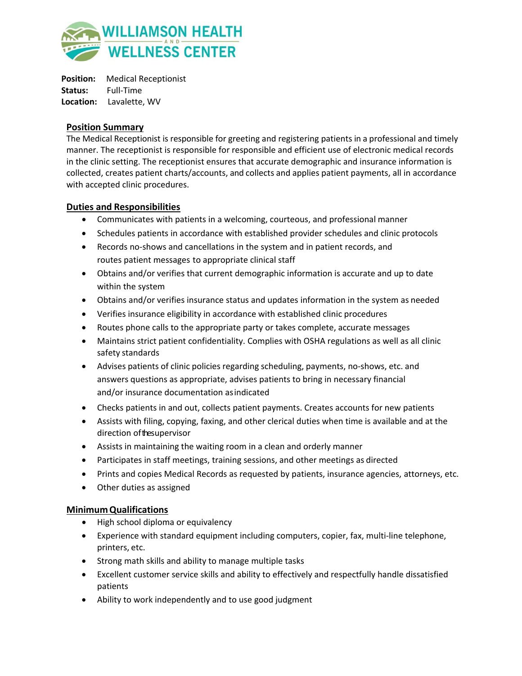

**Position:** Medical Receptionist **Status:** Full-Time **Location:** Lavalette, WV

## **Position Summary**

The Medical Receptionist is responsible for greeting and registering patients in a professional and timely manner. The receptionist is responsible for responsible and efficient use of electronic medical records in the clinic setting. The receptionist ensures that accurate demographic and insurance information is collected, creates patient charts/accounts, and collects and applies patient payments, all in accordance with accepted clinic procedures.

## **Duties and Responsibilities**

- Communicates with patients in a welcoming, courteous, and professional manner
- Schedules patients in accordance with established provider schedules and clinic protocols
- Records no-shows and cancellations in the system and in patient records, and routes patient messages to appropriate clinical staff
- Obtains and/or verifies that current demographic information is accurate and up to date within the system
- Obtains and/or verifies insurance status and updates information in the system as needed
- Verifies insurance eligibility in accordance with established clinic procedures
- Routes phone calls to the appropriate party or takes complete, accurate messages
- Maintains strict patient confidentiality. Complies with OSHA regulations as well as all clinic safety standards
- Advises patients of clinic policies regarding scheduling, payments, no-shows, etc. and answers questions as appropriate, advises patients to bring in necessary financial and/or insurance documentation asindicated
- Checks patients in and out, collects patient payments. Creates accounts for new patients
- Assists with filing, copying, faxing, and other clerical duties when time is available and at the direction of the supervisor
- Assists in maintaining the waiting room in a clean and orderly manner
- Participates in staff meetings, training sessions, and other meetings as directed
- Prints and copies Medical Records as requested by patients, insurance agencies, attorneys, etc.
- Other duties as assigned

## **Minimum Qualifications**

- High school diploma or equivalency
- Experience with standard equipment including computers, copier, fax, multi-line telephone, printers, etc.
- Strong math skills and ability to manage multiple tasks
- Excellent customer service skills and ability to effectively and respectfully handle dissatisfied patients
- Ability to work independently and to use good judgment